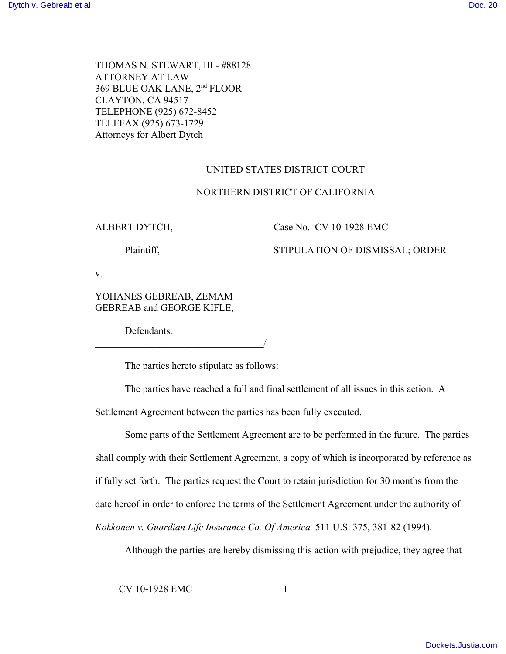THOMAS N. STEWART, III - #88128 ATTORNEY AT LAW 369 BLUE OAK LANE, 2nd FLOOR CLAYTON, CA 94517 TELEPHONE (925) 672-8452 TELEFAX (925) 673-1729 Attorneys for Albert Dytch

## UNITED STATES DISTRICT COURT

## NORTHERN DISTRICT OF CALIFORNIA

### ALBERT DYTCH, Case No. CV 10-1928 EMC

# Plaintiff, STIPULATION OF DISMISSAL; ORDER

v.

YOHANES GEBREAB, ZEMAM GEBREAB and GEORGE KIFLE,

 $\overline{\phantom{a}}$ 

Defendants.

The parties hereto stipulate as follows:

The parties have reached a full and final settlement of all issues in this action. A

Settlement Agreement between the parties has been fully executed.

Some parts of the Settlement Agreement are to be performed in the future. The parties shall comply with their Settlement Agreement, a copy of which is incorporated by reference as if fully set forth. The parties request the Court to retain jurisdiction for 30 months from the date hereof in order to enforce the terms of the Settlement Agreement under the authority of *Kokkonen v. Guardian Life Insurance Co. Of America,* 511 U.S. 375, 381-82 (1994).

Although the parties are hereby dismissing this action with prejudice, they agree that

CV 10-1928 EMC 1